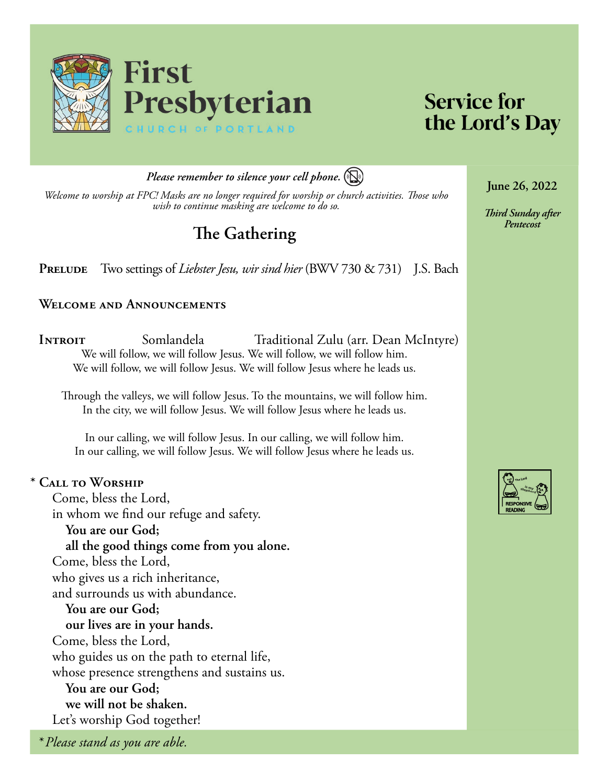

# **Service for** the Lord's Day

*Please remember to silence your cell phone.*

*Welcome to worship at FPC! Masks are no longer required for worship or church activities. Those who wish to continue masking are welcome to do so.*

# **The Gathering**

**PRELUDE** Two settings of *Liebster Jesu, wir sind hier* (BWV 730 & 731) J.S. Bach

#### **Welcome and Announcements**

**INTROIT** Somlandela Traditional Zulu (arr. Dean McIntyre) We will follow, we will follow Jesus. We will follow, we will follow him. We will follow, we will follow Jesus. We will follow Jesus where he leads us.

Through the valleys, we will follow Jesus. To the mountains, we will follow him. In the city, we will follow Jesus. We will follow Jesus where he leads us.

In our calling, we will follow Jesus. In our calling, we will follow him. In our calling, we will follow Jesus. We will follow Jesus where he leads us.

#### **\* Call to Worship**

Come, bless the Lord, in whom we find our refuge and safety. **You are our God; all the good things come from you alone.** Come, bless the Lord, who gives us a rich inheritance, and surrounds us with abundance. **You are our God; our lives are in your hands.** Come, bless the Lord, who guides us on the path to eternal life, whose presence strengthens and sustains us. **You are our God; we will not be shaken.** Let's worship God together!

*\* Please stand as you are able.*

**June 26, 2022**

*Third Sunday after* 

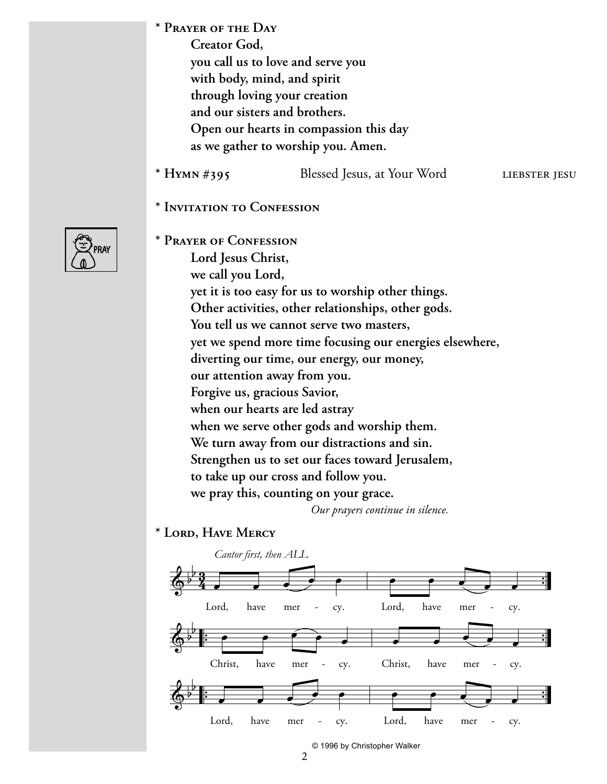**\* Prayer of the Day** 

**Creator God, you call us to love and serve you with body, mind, and spirit through loving your creation and our sisters and brothers. Open our hearts in compassion this day as we gather to worship you. Amen.**

- **\* Hymn #395** Blessed Jesus, at Your Word liebster jesu
- **\* Invitation to Confession**

| 'RΔ |
|-----|
|     |

**\* Prayer of Confession Lord Jesus Christ, we call you Lord, yet it is too easy for us to worship other things. Other activities, other relationships, other gods. You tell us we cannot serve two masters, yet we spend more time focusing our energies elsewhere, diverting our time, our energy, our money, our attention away from you. Forgive us, gracious Savior, when our hearts are led astray when we serve other gods and worship them. We turn away from our distractions and sin. Strengthen us to set our faces toward Jerusalem, to take up our cross and follow you. we pray this, counting on your grace.** 

*Our prayers continue in silence.*

**\* Lord, Have Mercy** 



© 1996 by Christopher Walker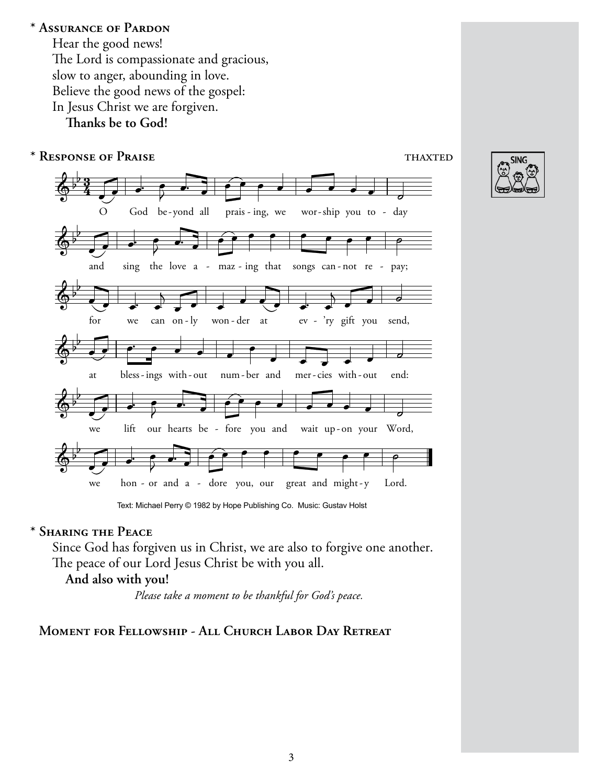#### **\* Assurance of Pardon**

Hear the good news! The Lord is compassionate and gracious, slow to anger, abounding in love. Believe the good news of the gospel: In Jesus Christ we are forgiven.

**Thanks be to God!**



**SING** 

Text: Michael Perry © 1982 by Hope Publishing Co. Music: Gustav Holst

#### **\* Sharing the Peace**

Since God has forgiven us in Christ, we are also to forgive one another. The peace of our Lord Jesus Christ be with you all.

### **And also with you!**

*Please take a moment to be thankful for God's peace.*

### **Moment for Fellowship - All Church Labor Day Retreat**

3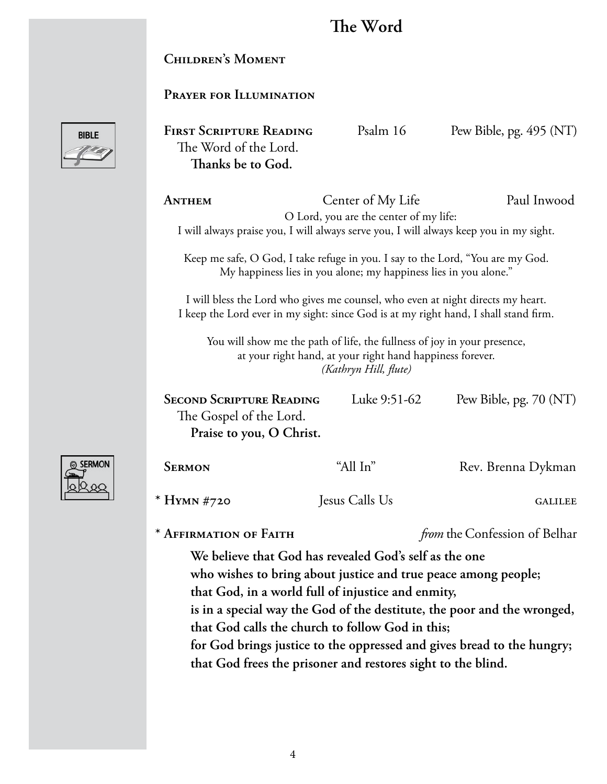# **The Word**

## **Children's Moment**

## **Prayer for Illumination**



FIRST SCRIPTURE READING Psalm 16 Pew Bible, pg. 495 (NT) The Word of the Lord. **Thanks be to God.**

**ANTHEM** Center of My Life Paul Inwood O Lord, you are the center of my life: I will always praise you, I will always serve you, I will always keep you in my sight.

Keep me safe, O God, I take refuge in you. I say to the Lord, "You are my God. My happiness lies in you alone; my happiness lies in you alone."

I will bless the Lord who gives me counsel, who even at night directs my heart. I keep the Lord ever in my sight: since God is at my right hand, I shall stand firm.

You will show me the path of life, the fullness of joy in your presence, at your right hand, at your right hand happiness forever. *(Kathryn Hill, flute)*

| <b>SECOND SCRIPTURE READING</b> | Luke 9:51-62 | Pew Bible, pg. $70 (NT)$ |
|---------------------------------|--------------|--------------------------|
| The Gospel of the Lord.         |              |                          |
| Praise to you, O Christ.        |              |                          |



**SERMON** "All In" Rev. Brenna Dykman **\* Hymn #720** Jesus Calls Us galilee

**\* Affirmation of Faith** *from* the Confession of Belhar

**We believe that God has revealed God's self as the one who wishes to bring about justice and true peace among people; that God, in a world full of injustice and enmity, is in a special way the God of the destitute, the poor and the wronged, that God calls the church to follow God in this; for God brings justice to the oppressed and gives bread to the hungry; that God frees the prisoner and restores sight to the blind.**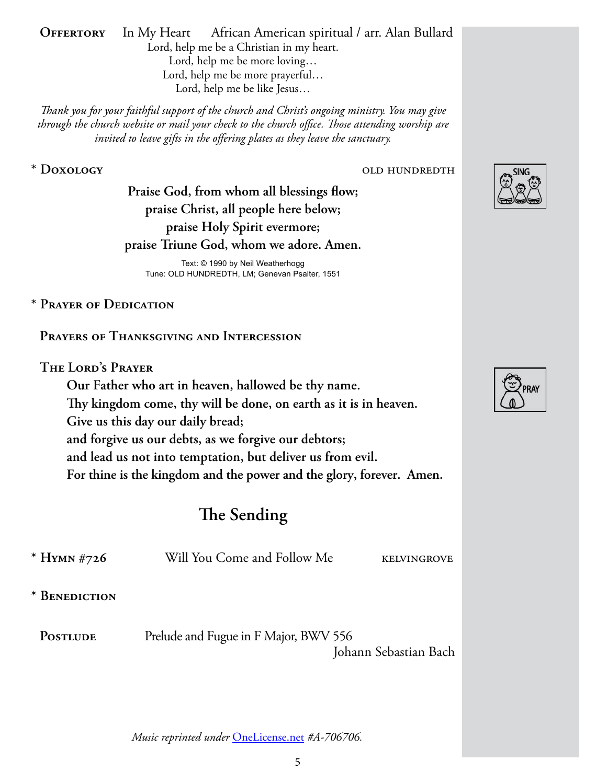**OFFERTORY** In My Heart African American spiritual / arr. Alan Bullard Lord, help me be a Christian in my heart. Lord, help me be more loving… Lord, help me be more prayerful… Lord, help me be like Jesus…

*Thank you for your faithful support of the church and Christ's ongoing ministry. You may give through the church website or mail your check to the church office. Those attending worship are invited to leave gifts in the offering plates as they leave the sanctuary.*

#### **\* Doxology** old hundredth

**Praise God, from whom all blessings flow; praise Christ, all people here below; praise Holy Spirit evermore; praise Triune God, whom we adore. Amen.**

Text: © 1990 by Neil Weatherhogg Tune: OLD HUNDREDTH, LM; Genevan Psalter, 1551

## **\* Prayer of Dedication**

**Prayers of Thanksgiving and Intercession**

#### **The Lord's Prayer**

**Our Father who art in heaven, hallowed be thy name. Thy kingdom come, thy will be done, on earth as it is in heaven. Give us this day our daily bread; and forgive us our debts, as we forgive our debtors; and lead us not into temptation, but deliver us from evil. For thine is the kingdom and the power and the glory, forever. Amen.**

# **The Sending**

| * HYMN #726     | Will You Come and Follow Me           | <b>KELVINGROVE</b>    |
|-----------------|---------------------------------------|-----------------------|
| * BENEDICTION   |                                       |                       |
| <b>POSTLUDE</b> | Prelude and Fugue in F Major, BWV 556 | Johann Sebastian Bach |





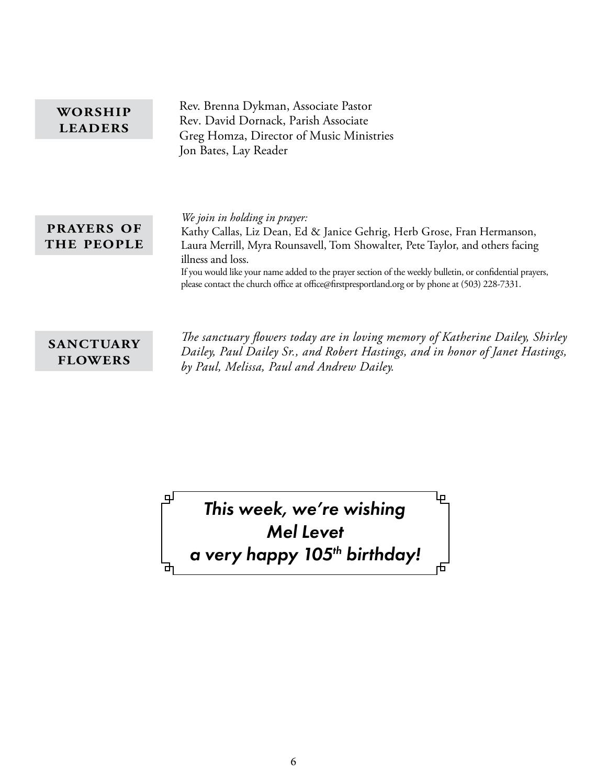| WORSHIP<br><b>LEADERS</b>       | Rev. Brenna Dykman, Associate Pastor<br>Rev. David Dornack, Parish Associate<br>Greg Homza, Director of Music Ministries                                                                                                                                                                                                                                                                                                      |  |
|---------------------------------|-------------------------------------------------------------------------------------------------------------------------------------------------------------------------------------------------------------------------------------------------------------------------------------------------------------------------------------------------------------------------------------------------------------------------------|--|
|                                 | Jon Bates, Lay Reader                                                                                                                                                                                                                                                                                                                                                                                                         |  |
| <b>PRAYERS OF</b><br>THE PEOPLE | We join in holding in prayer:<br>Kathy Callas, Liz Dean, Ed & Janice Gehrig, Herb Grose, Fran Hermanson,<br>Laura Merrill, Myra Rounsavell, Tom Showalter, Pete Taylor, and others facing<br>illness and loss.<br>If you would like your name added to the prayer section of the weekly bulletin, or confidential prayers,<br>please contact the church office at office@firstpresportland.org or by phone at (503) 228-7331. |  |

## **sanctuary flowers**

പ്പ

*The sanctuary flowers today are in loving memory of Katherine Dailey, Shirley Dailey, Paul Dailey Sr., and Robert Hastings, and in honor of Janet Hastings, by Paul, Melissa, Paul and Andrew Dailey.*

Lр

舌

*This week, we're wishing Mel Levet a very happy 105th birthday!*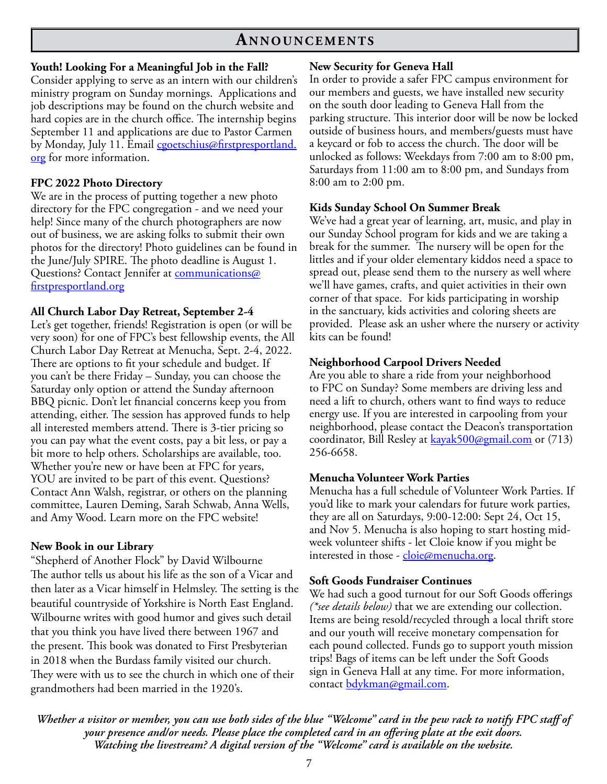## **An n o u n c e m e n t s**

#### **Youth! Looking For a Meaningful Job in the Fall?**

Consider applying to serve as an intern with our children's ministry program on Sunday mornings. Applications and job descriptions may be found on the church website and hard copies are in the church office. The internship begins September 11 and applications are due to Pastor Carmen by Monday, July 11. Email [cgoetschius@firstpresportland.](mailto:cgoetschius@firstpresportland.org) [org](mailto:cgoetschius@firstpresportland.org) for more information.

#### **FPC 2022 Photo Directory**

We are in the process of putting together a new photo directory for the FPC congregation - and we need your help! Since many of the church photographers are now out of business, we are asking folks to submit their own photos for the directory! Photo guidelines can be found in the June/July SPIRE. The photo deadline is August 1. Questions? Contact Jennifer at [communications@](mailto:communications@firstpresportland.org) [firstpresportland.org](mailto:communications@firstpresportland.org)

#### **All Church Labor Day Retreat, September 2-4**

Let's get together, friends! Registration is open (or will be very soon) for one of FPC's best fellowship events, the All Church Labor Day Retreat at Menucha, Sept. 2-4, 2022. There are options to fit your schedule and budget. If you can't be there Friday – Sunday, you can choose the Saturday only option or attend the Sunday afternoon BBQ picnic. Don't let financial concerns keep you from attending, either. The session has approved funds to help all interested members attend. There is 3-tier pricing so you can pay what the event costs, pay a bit less, or pay a bit more to help others. Scholarships are available, too. Whether you're new or have been at FPC for years, YOU are invited to be part of this event. Questions? Contact Ann Walsh, registrar, or others on the planning committee, Lauren Deming, Sarah Schwab, Anna Wells, and Amy Wood. Learn more on the FPC website!

#### **New Book in our Library**

"Shepherd of Another Flock" by David Wilbourne The author tells us about his life as the son of a Vicar and then later as a Vicar himself in Helmsley. The setting is the beautiful countryside of Yorkshire is North East England. Wilbourne writes with good humor and gives such detail that you think you have lived there between 1967 and the present. This book was donated to First Presbyterian in 2018 when the Burdass family visited our church. They were with us to see the church in which one of their grandmothers had been married in the 1920's.

#### **New Security for Geneva Hall**

In order to provide a safer FPC campus environment for our members and guests, we have installed new security on the south door leading to Geneva Hall from the parking structure. This interior door will be now be locked outside of business hours, and members/guests must have a keycard or fob to access the church. The door will be unlocked as follows: Weekdays from 7:00 am to 8:00 pm, Saturdays from 11:00 am to 8:00 pm, and Sundays from 8:00 am to 2:00 pm.

#### **Kids Sunday School On Summer Break**

We've had a great year of learning, art, music, and play in our Sunday School program for kids and we are taking a break for the summer. The nursery will be open for the littles and if your older elementary kiddos need a space to spread out, please send them to the nursery as well where we'll have games, crafts, and quiet activities in their own corner of that space. For kids participating in worship in the sanctuary, kids activities and coloring sheets are provided. Please ask an usher where the nursery or activity kits can be found!

#### **Neighborhood Carpool Drivers Needed**

Are you able to share a ride from your neighborhood to FPC on Sunday? Some members are driving less and need a lift to church, others want to find ways to reduce energy use. If you are interested in carpooling from your neighborhood, please contact the Deacon's transportation coordinator, Bill Resley at [kayak500@gmail.com](mailto:kayak500@gmail.com) or (713) 256-6658.

#### **Menucha Volunteer Work Parties**

Menucha has a full schedule of Volunteer Work Parties. If you'd like to mark your calendars for future work parties, they are all on Saturdays, 9:00-12:00: Sept 24, Oct 15, and Nov 5. Menucha is also hoping to start hosting midweek volunteer shifts - let Cloie know if you might be interested in those - [cloie@menucha.org.](mailto:cloie@menucha.org)

#### **Soft Goods Fundraiser Continues**

We had such a good turnout for our Soft Goods offerings *(\*see details below)* that we are extending our collection. Items are being resold/recycled through a local thrift store and our youth will receive monetary compensation for each pound collected. Funds go to support youth mission trips! Bags of items can be left under the Soft Goods sign in Geneva Hall at any time. For more information, contact [bdykman@gmail.com.](mailto:bdykman@gmail.com)

*Whether a visitor or member, you can use both sides of the blue "Welcome" card in the pew rack to notify FPC staff of your presence and/or needs. Please place the completed card in an offering plate at the exit doors. Watching the livestream? A digital version of the "Welcome" card is available on the website.*